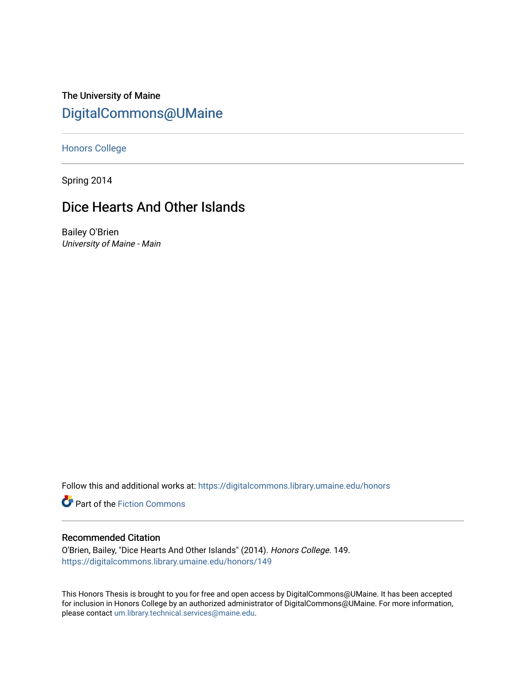The University of Maine [DigitalCommons@UMaine](https://digitalcommons.library.umaine.edu/)

[Honors College](https://digitalcommons.library.umaine.edu/honors)

Spring 2014

# Dice Hearts And Other Islands

Bailey O'Brien University of Maine - Main

Follow this and additional works at: [https://digitalcommons.library.umaine.edu/honors](https://digitalcommons.library.umaine.edu/honors?utm_source=digitalcommons.library.umaine.edu%2Fhonors%2F149&utm_medium=PDF&utm_campaign=PDFCoverPages) 

Part of the [Fiction Commons](http://network.bepress.com/hgg/discipline/1151?utm_source=digitalcommons.library.umaine.edu%2Fhonors%2F149&utm_medium=PDF&utm_campaign=PDFCoverPages) 

#### Recommended Citation

O'Brien, Bailey, "Dice Hearts And Other Islands" (2014). Honors College. 149. [https://digitalcommons.library.umaine.edu/honors/149](https://digitalcommons.library.umaine.edu/honors/149?utm_source=digitalcommons.library.umaine.edu%2Fhonors%2F149&utm_medium=PDF&utm_campaign=PDFCoverPages) 

This Honors Thesis is brought to you for free and open access by DigitalCommons@UMaine. It has been accepted for inclusion in Honors College by an authorized administrator of DigitalCommons@UMaine. For more information, please contact [um.library.technical.services@maine.edu.](mailto:um.library.technical.services@maine.edu)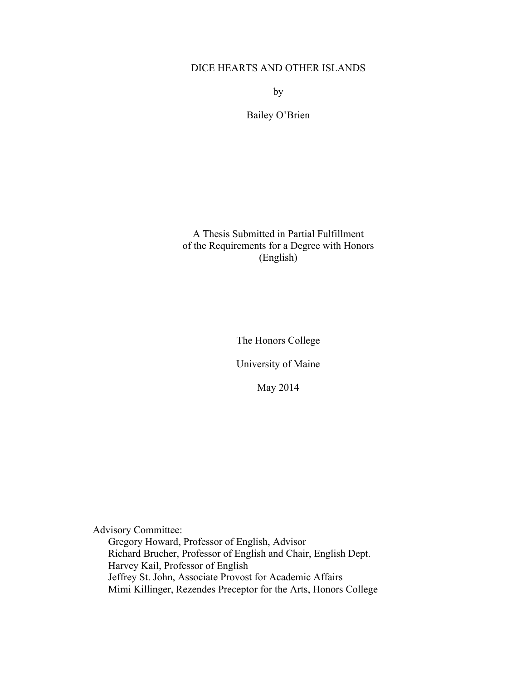### DICE HEARTS AND OTHER ISLANDS

by

Bailey O'Brien

A Thesis Submitted in Partial Fulfillment of the Requirements for a Degree with Honors (English)

The Honors College

University of Maine

May 2014

Advisory Committee: Gregory Howard, Professor of English, Advisor Richard Brucher, Professor of English and Chair, English Dept. Harvey Kail, Professor of English Jeffrey St. John, Associate Provost for Academic Affairs Mimi Killinger, Rezendes Preceptor for the Arts, Honors College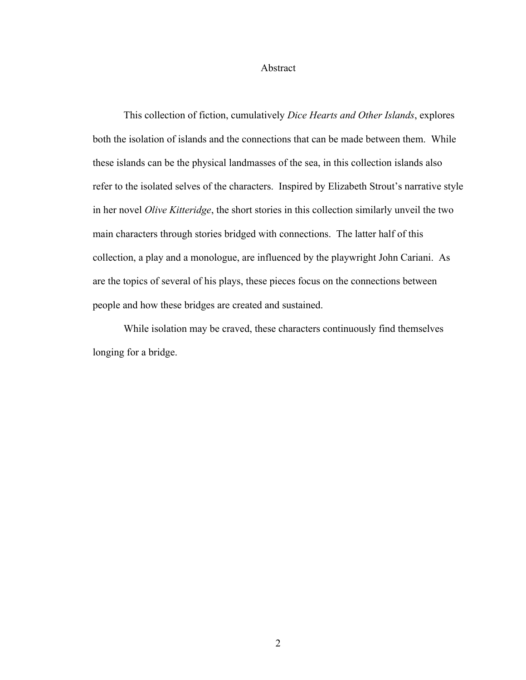#### Abstract

This collection of fiction, cumulatively *Dice Hearts and Other Islands*, explores both the isolation of islands and the connections that can be made between them. While these islands can be the physical landmasses of the sea, in this collection islands also refer to the isolated selves of the characters. Inspired by Elizabeth Strout's narrative style in her novel *Olive Kitteridge*, the short stories in this collection similarly unveil the two main characters through stories bridged with connections. The latter half of this collection, a play and a monologue, are influenced by the playwright John Cariani. As are the topics of several of his plays, these pieces focus on the connections between people and how these bridges are created and sustained.

While isolation may be craved, these characters continuously find themselves longing for a bridge.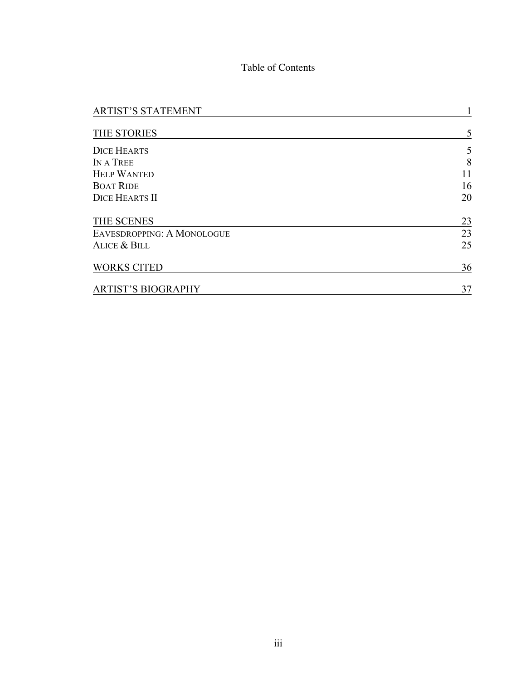# Table of Contents

| <b>ARTIST'S STATEMENT</b>  |    |
|----------------------------|----|
| THE STORIES                | 5  |
| <b>DICE HEARTS</b>         | 5  |
| IN A TREE                  | 8  |
| <b>HELP WANTED</b>         | 11 |
| <b>BOAT RIDE</b>           | 16 |
| <b>DICE HEARTS II</b>      | 20 |
| THE SCENES                 | 23 |
| EAVESDROPPING: A MONOLOGUE | 23 |
| <b>ALICE &amp; BILL</b>    | 25 |
| <b>WORKS CITED</b>         | 36 |
| <b>ARTIST'S BIOGRAPHY</b>  | 37 |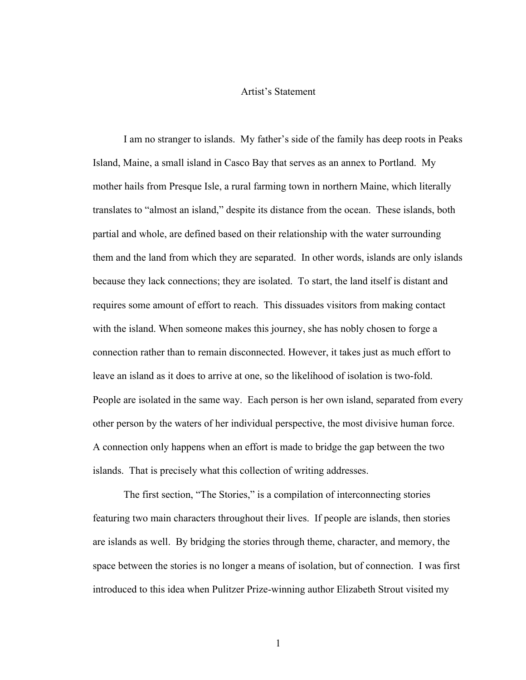#### Artist's Statement

I am no stranger to islands. My father's side of the family has deep roots in Peaks Island, Maine, a small island in Casco Bay that serves as an annex to Portland. My mother hails from Presque Isle, a rural farming town in northern Maine, which literally translates to "almost an island," despite its distance from the ocean. These islands, both partial and whole, are defined based on their relationship with the water surrounding them and the land from which they are separated. In other words, islands are only islands because they lack connections; they are isolated. To start, the land itself is distant and requires some amount of effort to reach. This dissuades visitors from making contact with the island. When someone makes this journey, she has nobly chosen to forge a connection rather than to remain disconnected. However, it takes just as much effort to leave an island as it does to arrive at one, so the likelihood of isolation is two-fold. People are isolated in the same way. Each person is her own island, separated from every other person by the waters of her individual perspective, the most divisive human force. A connection only happens when an effort is made to bridge the gap between the two islands. That is precisely what this collection of writing addresses.

The first section, "The Stories," is a compilation of interconnecting stories featuring two main characters throughout their lives. If people are islands, then stories are islands as well. By bridging the stories through theme, character, and memory, the space between the stories is no longer a means of isolation, but of connection. I was first introduced to this idea when Pulitzer Prize-winning author Elizabeth Strout visited my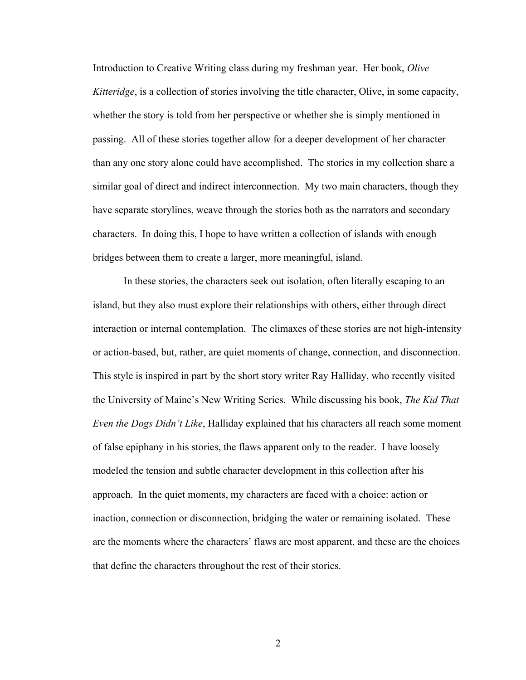Introduction to Creative Writing class during my freshman year. Her book, *Olive Kitteridge*, is a collection of stories involving the title character, Olive, in some capacity, whether the story is told from her perspective or whether she is simply mentioned in passing. All of these stories together allow for a deeper development of her character than any one story alone could have accomplished. The stories in my collection share a similar goal of direct and indirect interconnection. My two main characters, though they have separate storylines, weave through the stories both as the narrators and secondary characters. In doing this, I hope to have written a collection of islands with enough bridges between them to create a larger, more meaningful, island.

In these stories, the characters seek out isolation, often literally escaping to an island, but they also must explore their relationships with others, either through direct interaction or internal contemplation. The climaxes of these stories are not high-intensity or action-based, but, rather, are quiet moments of change, connection, and disconnection. This style is inspired in part by the short story writer Ray Halliday, who recently visited the University of Maine's New Writing Series. While discussing his book, *The Kid That Even the Dogs Didn't Like*, Halliday explained that his characters all reach some moment of false epiphany in his stories, the flaws apparent only to the reader. I have loosely modeled the tension and subtle character development in this collection after his approach. In the quiet moments, my characters are faced with a choice: action or inaction, connection or disconnection, bridging the water or remaining isolated. These are the moments where the characters' flaws are most apparent, and these are the choices that define the characters throughout the rest of their stories.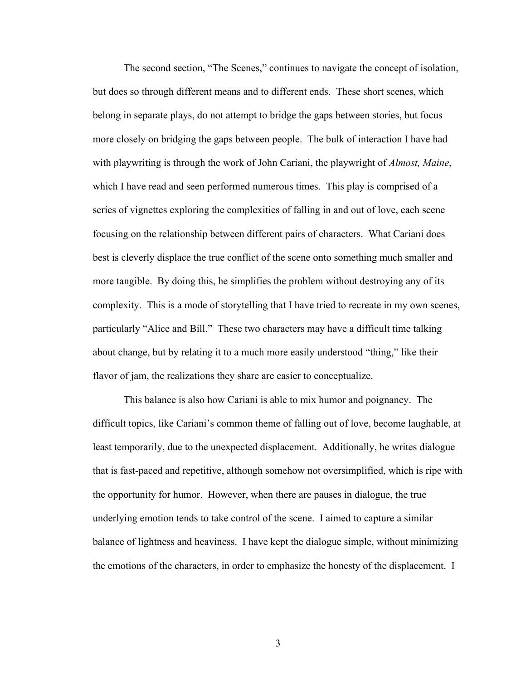The second section, "The Scenes," continues to navigate the concept of isolation, but does so through different means and to different ends. These short scenes, which belong in separate plays, do not attempt to bridge the gaps between stories, but focus more closely on bridging the gaps between people. The bulk of interaction I have had with playwriting is through the work of John Cariani, the playwright of *Almost, Maine*, which I have read and seen performed numerous times. This play is comprised of a series of vignettes exploring the complexities of falling in and out of love, each scene focusing on the relationship between different pairs of characters. What Cariani does best is cleverly displace the true conflict of the scene onto something much smaller and more tangible. By doing this, he simplifies the problem without destroying any of its complexity. This is a mode of storytelling that I have tried to recreate in my own scenes, particularly "Alice and Bill." These two characters may have a difficult time talking about change, but by relating it to a much more easily understood "thing," like their flavor of jam, the realizations they share are easier to conceptualize.

This balance is also how Cariani is able to mix humor and poignancy. The difficult topics, like Cariani's common theme of falling out of love, become laughable, at least temporarily, due to the unexpected displacement. Additionally, he writes dialogue that is fast-paced and repetitive, although somehow not oversimplified, which is ripe with the opportunity for humor. However, when there are pauses in dialogue, the true underlying emotion tends to take control of the scene. I aimed to capture a similar balance of lightness and heaviness. I have kept the dialogue simple, without minimizing the emotions of the characters, in order to emphasize the honesty of the displacement. I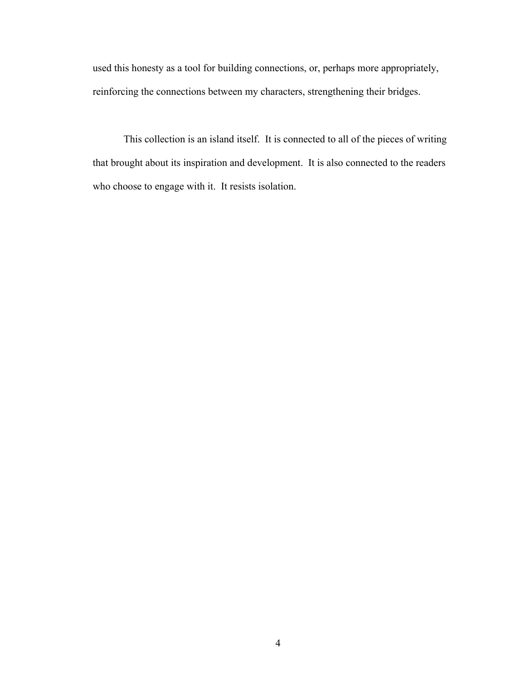used this honesty as a tool for building connections, or, perhaps more appropriately, reinforcing the connections between my characters, strengthening their bridges.

This collection is an island itself. It is connected to all of the pieces of writing that brought about its inspiration and development. It is also connected to the readers who choose to engage with it. It resists isolation.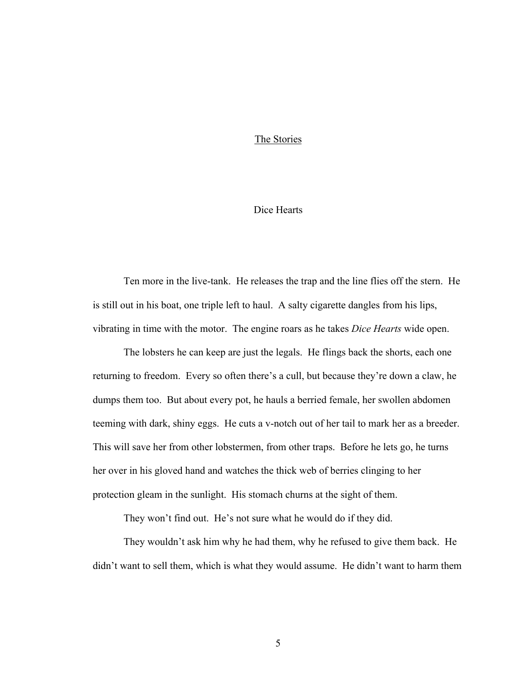#### The Stories

### Dice Hearts

Ten more in the live-tank. He releases the trap and the line flies off the stern. He is still out in his boat, one triple left to haul. A salty cigarette dangles from his lips, vibrating in time with the motor. The engine roars as he takes *Dice Hearts* wide open.

The lobsters he can keep are just the legals. He flings back the shorts, each one returning to freedom. Every so often there's a cull, but because they're down a claw, he dumps them too. But about every pot, he hauls a berried female, her swollen abdomen teeming with dark, shiny eggs. He cuts a v-notch out of her tail to mark her as a breeder. This will save her from other lobstermen, from other traps. Before he lets go, he turns her over in his gloved hand and watches the thick web of berries clinging to her protection gleam in the sunlight. His stomach churns at the sight of them.

They won't find out. He's not sure what he would do if they did.

They wouldn't ask him why he had them, why he refused to give them back. He didn't want to sell them, which is what they would assume. He didn't want to harm them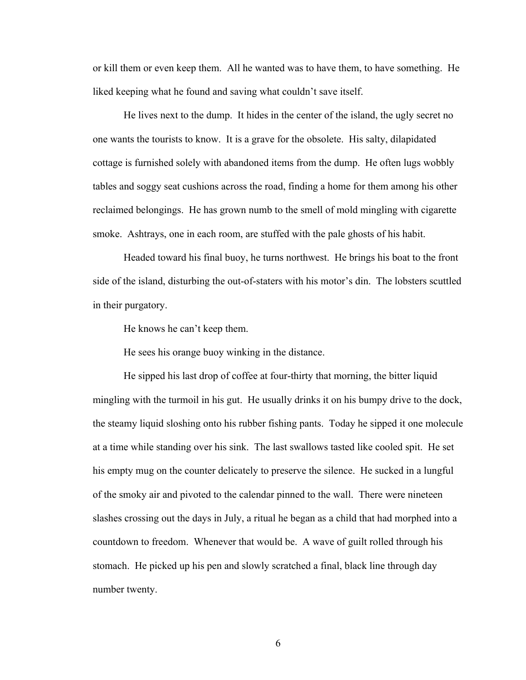or kill them or even keep them. All he wanted was to have them, to have something. He liked keeping what he found and saving what couldn't save itself.

He lives next to the dump. It hides in the center of the island, the ugly secret no one wants the tourists to know. It is a grave for the obsolete. His salty, dilapidated cottage is furnished solely with abandoned items from the dump. He often lugs wobbly tables and soggy seat cushions across the road, finding a home for them among his other reclaimed belongings. He has grown numb to the smell of mold mingling with cigarette smoke. Ashtrays, one in each room, are stuffed with the pale ghosts of his habit.

Headed toward his final buoy, he turns northwest. He brings his boat to the front side of the island, disturbing the out-of-staters with his motor's din. The lobsters scuttled in their purgatory.

He knows he can't keep them.

He sees his orange buoy winking in the distance.

He sipped his last drop of coffee at four-thirty that morning, the bitter liquid mingling with the turmoil in his gut. He usually drinks it on his bumpy drive to the dock, the steamy liquid sloshing onto his rubber fishing pants. Today he sipped it one molecule at a time while standing over his sink. The last swallows tasted like cooled spit. He set his empty mug on the counter delicately to preserve the silence. He sucked in a lungful of the smoky air and pivoted to the calendar pinned to the wall. There were nineteen slashes crossing out the days in July, a ritual he began as a child that had morphed into a countdown to freedom. Whenever that would be. A wave of guilt rolled through his stomach. He picked up his pen and slowly scratched a final, black line through day number twenty.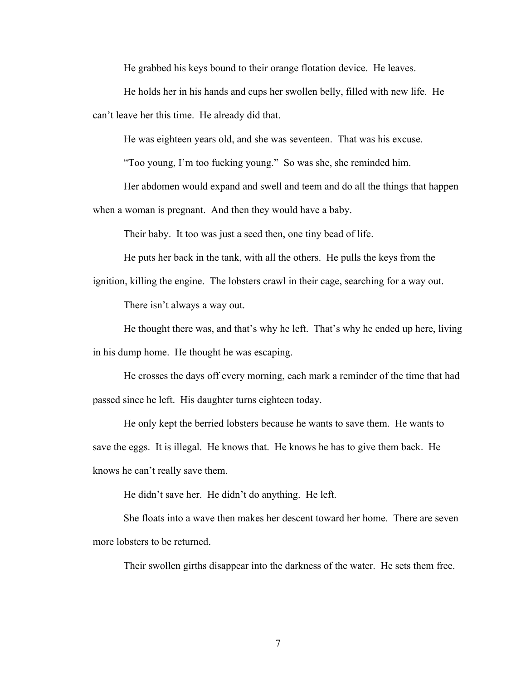He grabbed his keys bound to their orange flotation device. He leaves.

He holds her in his hands and cups her swollen belly, filled with new life. He can't leave her this time. He already did that.

He was eighteen years old, and she was seventeen. That was his excuse.

"Too young, I'm too fucking young." So was she, she reminded him.

Her abdomen would expand and swell and teem and do all the things that happen when a woman is pregnant. And then they would have a baby.

Their baby. It too was just a seed then, one tiny bead of life.

He puts her back in the tank, with all the others. He pulls the keys from the

ignition, killing the engine. The lobsters crawl in their cage, searching for a way out.

There isn't always a way out.

He thought there was, and that's why he left. That's why he ended up here, living in his dump home. He thought he was escaping.

He crosses the days off every morning, each mark a reminder of the time that had passed since he left. His daughter turns eighteen today.

He only kept the berried lobsters because he wants to save them. He wants to save the eggs. It is illegal. He knows that. He knows he has to give them back. He knows he can't really save them.

He didn't save her. He didn't do anything. He left.

She floats into a wave then makes her descent toward her home. There are seven more lobsters to be returned.

Their swollen girths disappear into the darkness of the water. He sets them free.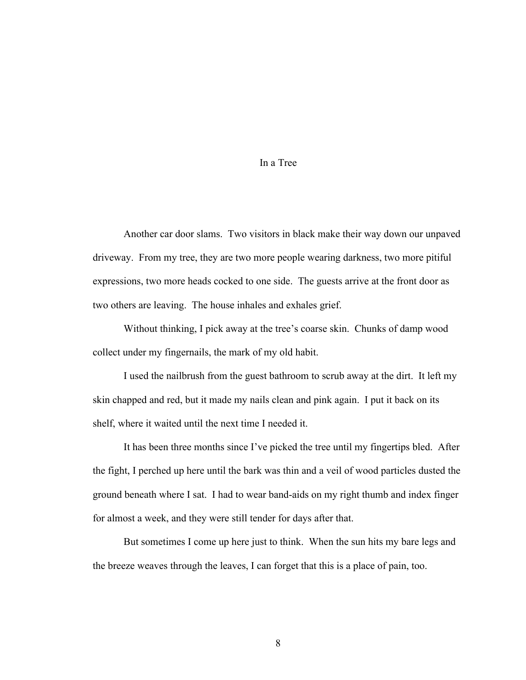### In a Tree

Another car door slams. Two visitors in black make their way down our unpaved driveway. From my tree, they are two more people wearing darkness, two more pitiful expressions, two more heads cocked to one side. The guests arrive at the front door as two others are leaving. The house inhales and exhales grief.

Without thinking, I pick away at the tree's coarse skin. Chunks of damp wood collect under my fingernails, the mark of my old habit.

I used the nailbrush from the guest bathroom to scrub away at the dirt. It left my skin chapped and red, but it made my nails clean and pink again. I put it back on its shelf, where it waited until the next time I needed it.

It has been three months since I've picked the tree until my fingertips bled. After the fight, I perched up here until the bark was thin and a veil of wood particles dusted the ground beneath where I sat. I had to wear band-aids on my right thumb and index finger for almost a week, and they were still tender for days after that.

But sometimes I come up here just to think. When the sun hits my bare legs and the breeze weaves through the leaves, I can forget that this is a place of pain, too.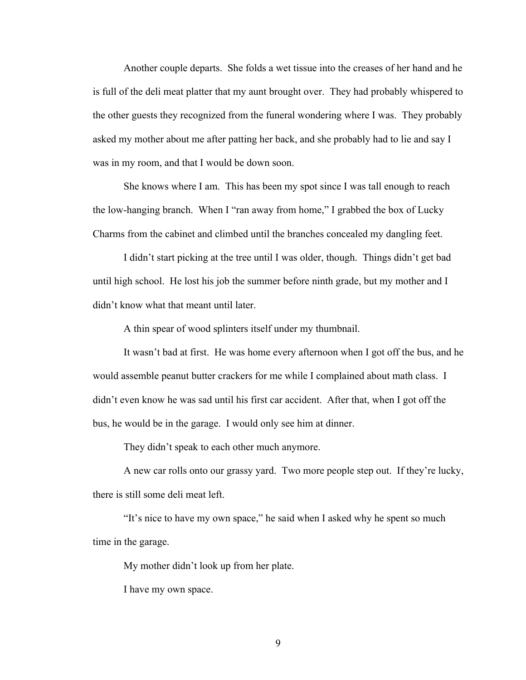Another couple departs. She folds a wet tissue into the creases of her hand and he is full of the deli meat platter that my aunt brought over. They had probably whispered to the other guests they recognized from the funeral wondering where I was. They probably asked my mother about me after patting her back, and she probably had to lie and say I was in my room, and that I would be down soon.

She knows where I am. This has been my spot since I was tall enough to reach the low-hanging branch. When I "ran away from home," I grabbed the box of Lucky Charms from the cabinet and climbed until the branches concealed my dangling feet.

I didn't start picking at the tree until I was older, though. Things didn't get bad until high school. He lost his job the summer before ninth grade, but my mother and I didn't know what that meant until later.

A thin spear of wood splinters itself under my thumbnail.

It wasn't bad at first. He was home every afternoon when I got off the bus, and he would assemble peanut butter crackers for me while I complained about math class. I didn't even know he was sad until his first car accident. After that, when I got off the bus, he would be in the garage. I would only see him at dinner.

They didn't speak to each other much anymore.

A new car rolls onto our grassy yard. Two more people step out. If they're lucky, there is still some deli meat left.

"It's nice to have my own space," he said when I asked why he spent so much time in the garage.

My mother didn't look up from her plate.

I have my own space.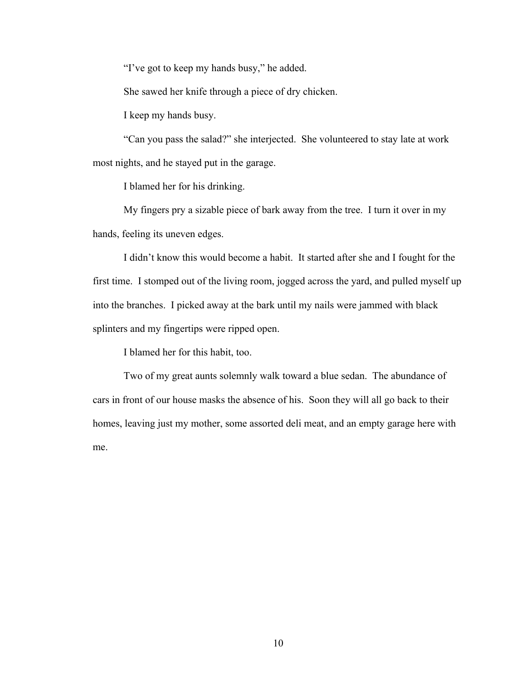"I've got to keep my hands busy," he added.

She sawed her knife through a piece of dry chicken.

I keep my hands busy.

"Can you pass the salad?" she interjected. She volunteered to stay late at work most nights, and he stayed put in the garage.

I blamed her for his drinking.

My fingers pry a sizable piece of bark away from the tree. I turn it over in my hands, feeling its uneven edges.

I didn't know this would become a habit. It started after she and I fought for the first time. I stomped out of the living room, jogged across the yard, and pulled myself up into the branches. I picked away at the bark until my nails were jammed with black splinters and my fingertips were ripped open.

I blamed her for this habit, too.

Two of my great aunts solemnly walk toward a blue sedan. The abundance of cars in front of our house masks the absence of his. Soon they will all go back to their homes, leaving just my mother, some assorted deli meat, and an empty garage here with me.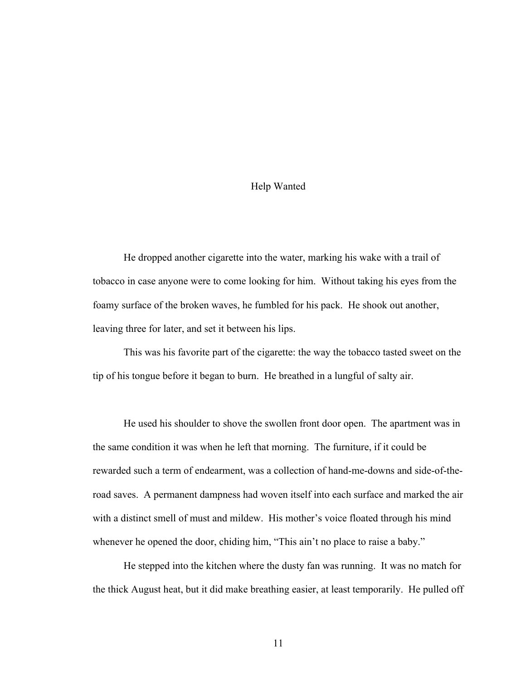### Help Wanted

He dropped another cigarette into the water, marking his wake with a trail of tobacco in case anyone were to come looking for him. Without taking his eyes from the foamy surface of the broken waves, he fumbled for his pack. He shook out another, leaving three for later, and set it between his lips.

This was his favorite part of the cigarette: the way the tobacco tasted sweet on the tip of his tongue before it began to burn. He breathed in a lungful of salty air.

He used his shoulder to shove the swollen front door open. The apartment was in the same condition it was when he left that morning. The furniture, if it could be rewarded such a term of endearment, was a collection of hand-me-downs and side-of-theroad saves. A permanent dampness had woven itself into each surface and marked the air with a distinct smell of must and mildew. His mother's voice floated through his mind whenever he opened the door, chiding him, "This ain't no place to raise a baby."

He stepped into the kitchen where the dusty fan was running. It was no match for the thick August heat, but it did make breathing easier, at least temporarily. He pulled off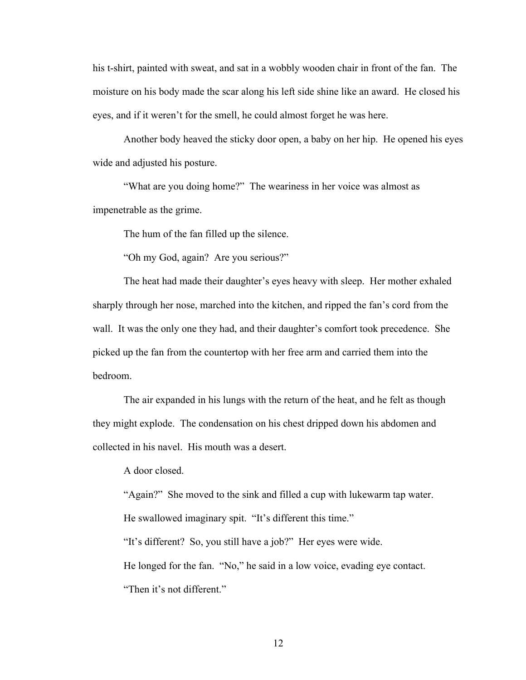his t-shirt, painted with sweat, and sat in a wobbly wooden chair in front of the fan. The moisture on his body made the scar along his left side shine like an award. He closed his eyes, and if it weren't for the smell, he could almost forget he was here.

Another body heaved the sticky door open, a baby on her hip. He opened his eyes wide and adjusted his posture.

"What are you doing home?" The weariness in her voice was almost as impenetrable as the grime.

The hum of the fan filled up the silence.

"Oh my God, again? Are you serious?"

The heat had made their daughter's eyes heavy with sleep. Her mother exhaled sharply through her nose, marched into the kitchen, and ripped the fan's cord from the wall. It was the only one they had, and their daughter's comfort took precedence. She picked up the fan from the countertop with her free arm and carried them into the bedroom.

The air expanded in his lungs with the return of the heat, and he felt as though they might explode. The condensation on his chest dripped down his abdomen and collected in his navel. His mouth was a desert.

A door closed.

"Again?" She moved to the sink and filled a cup with lukewarm tap water. He swallowed imaginary spit. "It's different this time." "It's different? So, you still have a job?" Her eyes were wide. He longed for the fan. "No," he said in a low voice, evading eye contact. "Then it's not different."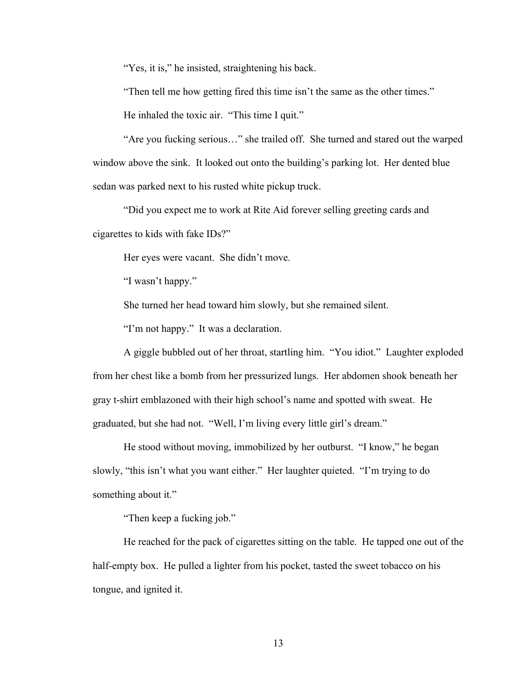"Yes, it is," he insisted, straightening his back.

"Then tell me how getting fired this time isn't the same as the other times."

He inhaled the toxic air. "This time I quit."

"Are you fucking serious…" she trailed off. She turned and stared out the warped window above the sink. It looked out onto the building's parking lot. Her dented blue sedan was parked next to his rusted white pickup truck.

"Did you expect me to work at Rite Aid forever selling greeting cards and cigarettes to kids with fake IDs?"

Her eyes were vacant. She didn't move.

"I wasn't happy."

She turned her head toward him slowly, but she remained silent.

"I'm not happy." It was a declaration.

A giggle bubbled out of her throat, startling him. "You idiot." Laughter exploded from her chest like a bomb from her pressurized lungs. Her abdomen shook beneath her gray t-shirt emblazoned with their high school's name and spotted with sweat. He graduated, but she had not. "Well, I'm living every little girl's dream."

He stood without moving, immobilized by her outburst. "I know," he began slowly, "this isn't what you want either." Her laughter quieted. "I'm trying to do something about it."

"Then keep a fucking job."

He reached for the pack of cigarettes sitting on the table. He tapped one out of the half-empty box. He pulled a lighter from his pocket, tasted the sweet tobacco on his tongue, and ignited it.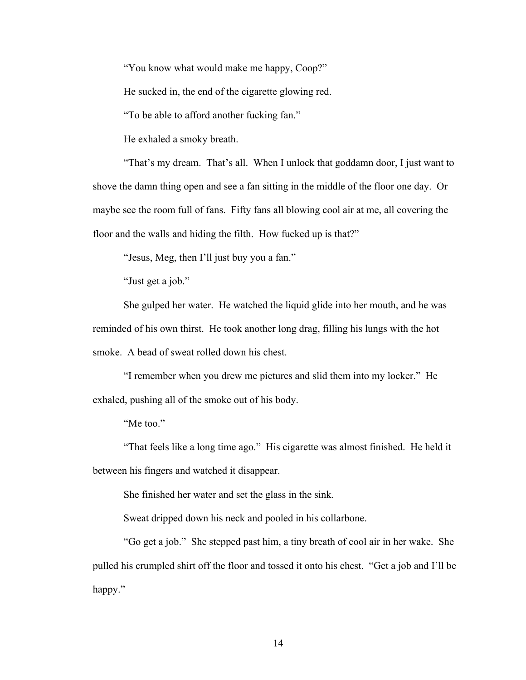"You know what would make me happy, Coop?"

He sucked in, the end of the cigarette glowing red.

"To be able to afford another fucking fan."

He exhaled a smoky breath.

"That's my dream. That's all. When I unlock that goddamn door, I just want to shove the damn thing open and see a fan sitting in the middle of the floor one day. Or maybe see the room full of fans. Fifty fans all blowing cool air at me, all covering the floor and the walls and hiding the filth. How fucked up is that?"

"Jesus, Meg, then I'll just buy you a fan."

"Just get a job."

She gulped her water. He watched the liquid glide into her mouth, and he was reminded of his own thirst. He took another long drag, filling his lungs with the hot smoke. A bead of sweat rolled down his chest.

"I remember when you drew me pictures and slid them into my locker." He exhaled, pushing all of the smoke out of his body.

"Me too."

"That feels like a long time ago." His cigarette was almost finished. He held it between his fingers and watched it disappear.

She finished her water and set the glass in the sink.

Sweat dripped down his neck and pooled in his collarbone.

"Go get a job." She stepped past him, a tiny breath of cool air in her wake. She pulled his crumpled shirt off the floor and tossed it onto his chest. "Get a job and I'll be happy."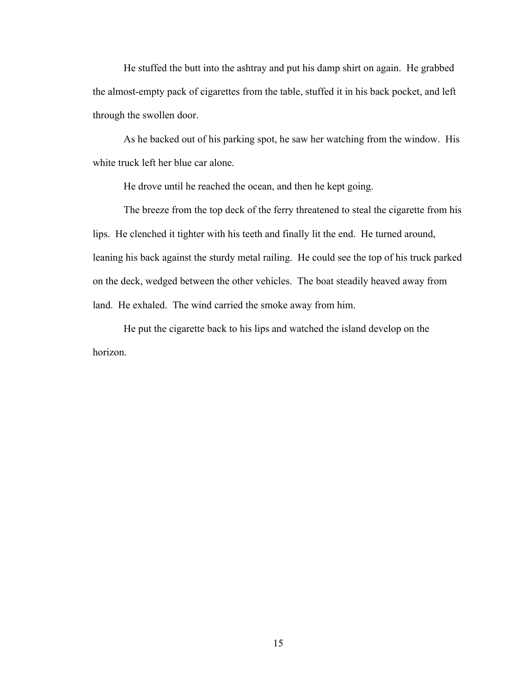He stuffed the butt into the ashtray and put his damp shirt on again. He grabbed the almost-empty pack of cigarettes from the table, stuffed it in his back pocket, and left through the swollen door.

As he backed out of his parking spot, he saw her watching from the window. His white truck left her blue car alone.

He drove until he reached the ocean, and then he kept going.

The breeze from the top deck of the ferry threatened to steal the cigarette from his lips. He clenched it tighter with his teeth and finally lit the end. He turned around, leaning his back against the sturdy metal railing. He could see the top of his truck parked on the deck, wedged between the other vehicles. The boat steadily heaved away from land. He exhaled. The wind carried the smoke away from him.

He put the cigarette back to his lips and watched the island develop on the horizon.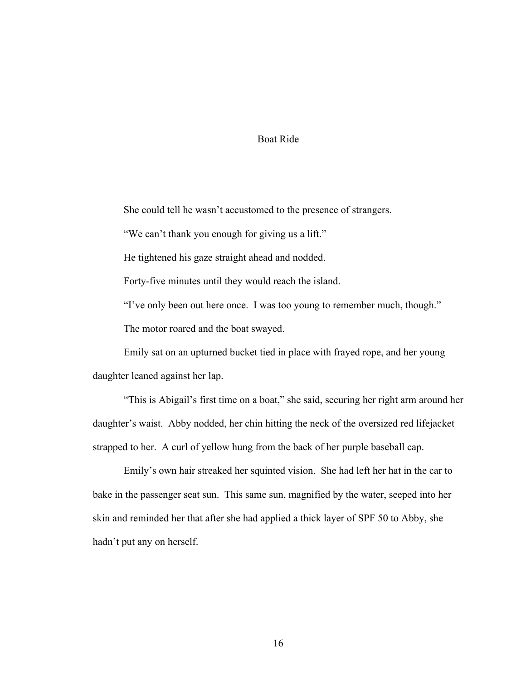### Boat Ride

She could tell he wasn't accustomed to the presence of strangers.

"We can't thank you enough for giving us a lift."

He tightened his gaze straight ahead and nodded.

Forty-five minutes until they would reach the island.

"I've only been out here once. I was too young to remember much, though."

The motor roared and the boat swayed.

Emily sat on an upturned bucket tied in place with frayed rope, and her young daughter leaned against her lap.

"This is Abigail's first time on a boat," she said, securing her right arm around her daughter's waist. Abby nodded, her chin hitting the neck of the oversized red lifejacket strapped to her. A curl of yellow hung from the back of her purple baseball cap.

Emily's own hair streaked her squinted vision. She had left her hat in the car to bake in the passenger seat sun. This same sun, magnified by the water, seeped into her skin and reminded her that after she had applied a thick layer of SPF 50 to Abby, she hadn't put any on herself.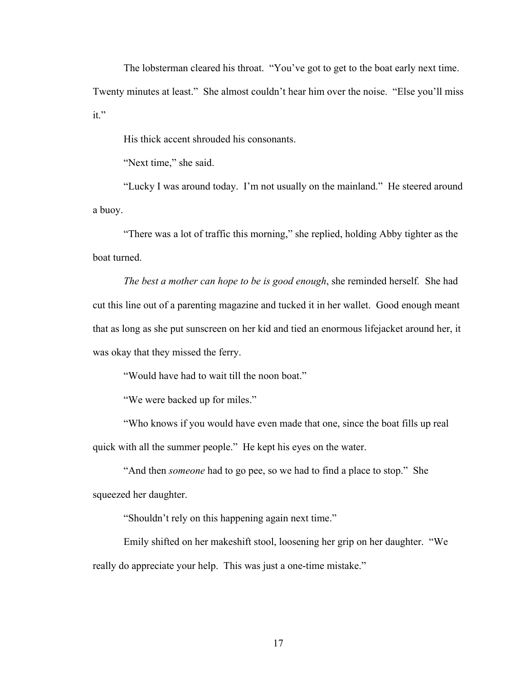The lobsterman cleared his throat. "You've got to get to the boat early next time.

Twenty minutes at least." She almost couldn't hear him over the noise. "Else you'll miss it."

His thick accent shrouded his consonants.

"Next time," she said.

"Lucky I was around today. I'm not usually on the mainland." He steered around a buoy.

"There was a lot of traffic this morning," she replied, holding Abby tighter as the boat turned.

*The best a mother can hope to be is good enough*, she reminded herself*.* She had cut this line out of a parenting magazine and tucked it in her wallet. Good enough meant that as long as she put sunscreen on her kid and tied an enormous lifejacket around her, it was okay that they missed the ferry.

"Would have had to wait till the noon boat."

"We were backed up for miles."

"Who knows if you would have even made that one, since the boat fills up real quick with all the summer people." He kept his eyes on the water.

"And then *someone* had to go pee, so we had to find a place to stop." She squeezed her daughter.

"Shouldn't rely on this happening again next time."

Emily shifted on her makeshift stool, loosening her grip on her daughter. "We really do appreciate your help. This was just a one-time mistake."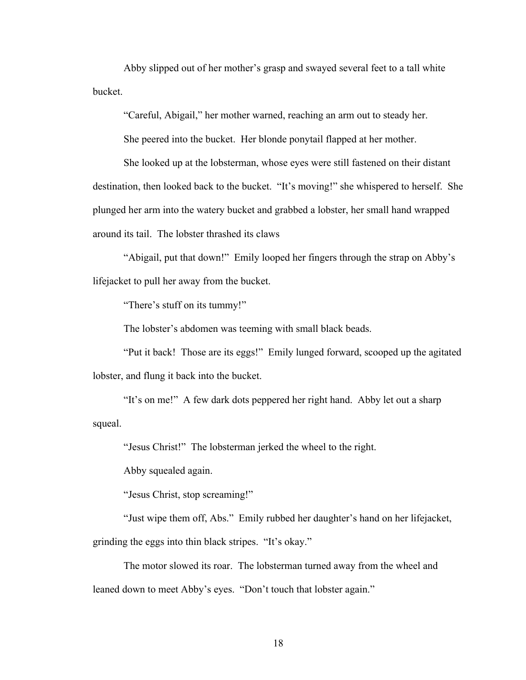Abby slipped out of her mother's grasp and swayed several feet to a tall white bucket.

"Careful, Abigail," her mother warned, reaching an arm out to steady her.

She peered into the bucket. Her blonde ponytail flapped at her mother.

She looked up at the lobsterman, whose eyes were still fastened on their distant destination, then looked back to the bucket. "It's moving!" she whispered to herself. She plunged her arm into the watery bucket and grabbed a lobster, her small hand wrapped around its tail. The lobster thrashed its claws

"Abigail, put that down!" Emily looped her fingers through the strap on Abby's lifejacket to pull her away from the bucket.

"There's stuff on its tummy!"

The lobster's abdomen was teeming with small black beads.

"Put it back! Those are its eggs!" Emily lunged forward, scooped up the agitated lobster, and flung it back into the bucket.

"It's on me!" A few dark dots peppered her right hand. Abby let out a sharp squeal.

"Jesus Christ!" The lobsterman jerked the wheel to the right.

Abby squealed again.

"Jesus Christ, stop screaming!"

"Just wipe them off, Abs." Emily rubbed her daughter's hand on her lifejacket, grinding the eggs into thin black stripes. "It's okay."

The motor slowed its roar. The lobsterman turned away from the wheel and leaned down to meet Abby's eyes. "Don't touch that lobster again."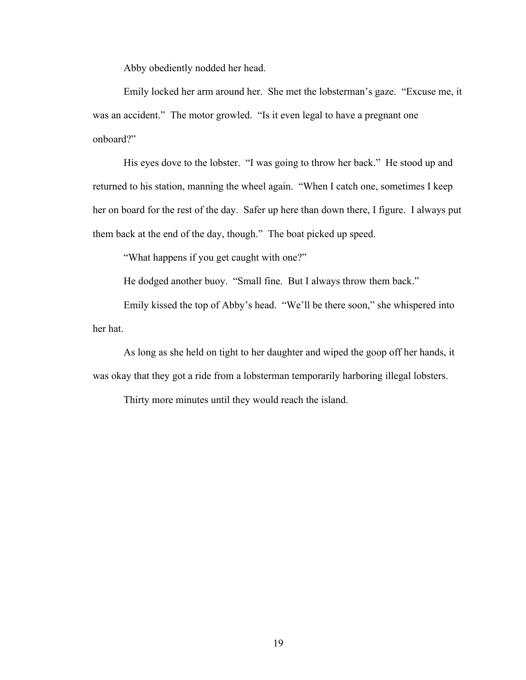Abby obediently nodded her head.

Emily locked her arm around her. She met the lobsterman's gaze. "Excuse me, it was an accident." The motor growled. "Is it even legal to have a pregnant one onboard?"

His eyes dove to the lobster. "I was going to throw her back." He stood up and returned to his station, manning the wheel again. "When I catch one, sometimes I keep her on board for the rest of the day. Safer up here than down there, I figure. I always put them back at the end of the day, though." The boat picked up speed.

"What happens if you get caught with one?"

He dodged another buoy. "Small fine. But I always throw them back."

Emily kissed the top of Abby's head. "We'll be there soon," she whispered into her hat.

As long as she held on tight to her daughter and wiped the goop off her hands, it was okay that they got a ride from a lobsterman temporarily harboring illegal lobsters.

Thirty more minutes until they would reach the island.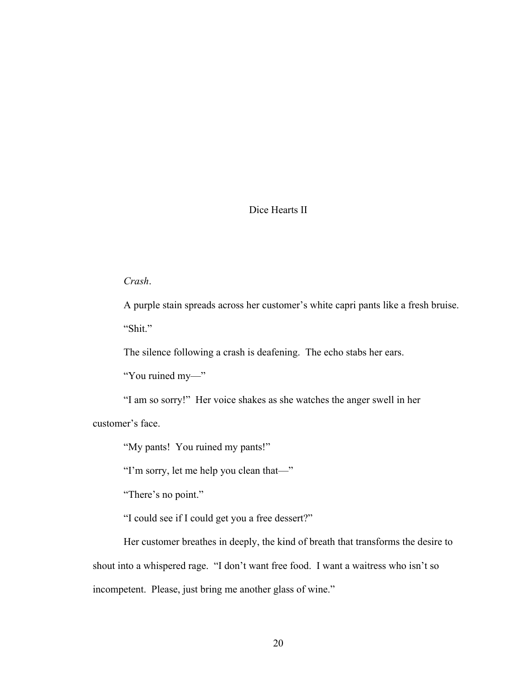# Dice Hearts II

# *Crash*.

A purple stain spreads across her customer's white capri pants like a fresh bruise. "Shit."

The silence following a crash is deafening. The echo stabs her ears.

"You ruined my—"

"I am so sorry!" Her voice shakes as she watches the anger swell in her customer's face.

"My pants! You ruined my pants!"

"I'm sorry, let me help you clean that—"

"There's no point."

"I could see if I could get you a free dessert?"

Her customer breathes in deeply, the kind of breath that transforms the desire to shout into a whispered rage. "I don't want free food. I want a waitress who isn't so incompetent. Please, just bring me another glass of wine."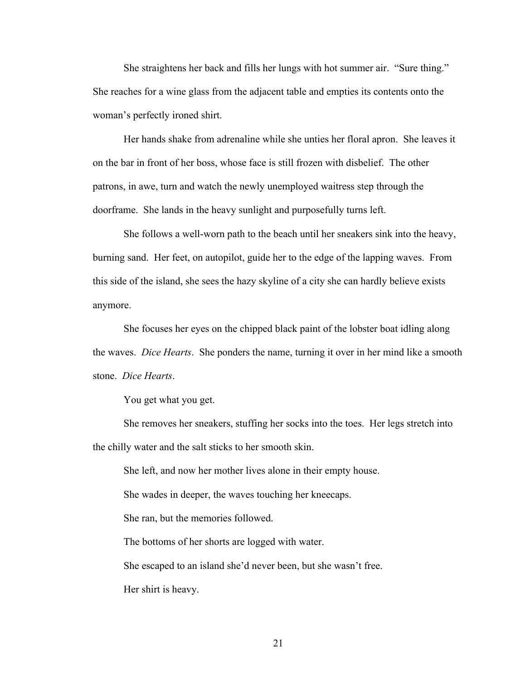She straightens her back and fills her lungs with hot summer air. "Sure thing." She reaches for a wine glass from the adjacent table and empties its contents onto the woman's perfectly ironed shirt.

Her hands shake from adrenaline while she unties her floral apron. She leaves it on the bar in front of her boss, whose face is still frozen with disbelief. The other patrons, in awe, turn and watch the newly unemployed waitress step through the doorframe. She lands in the heavy sunlight and purposefully turns left.

She follows a well-worn path to the beach until her sneakers sink into the heavy, burning sand. Her feet, on autopilot, guide her to the edge of the lapping waves. From this side of the island, she sees the hazy skyline of a city she can hardly believe exists anymore.

She focuses her eyes on the chipped black paint of the lobster boat idling along the waves. *Dice Hearts*. She ponders the name, turning it over in her mind like a smooth stone. *Dice Hearts*.

You get what you get.

She removes her sneakers, stuffing her socks into the toes. Her legs stretch into the chilly water and the salt sticks to her smooth skin.

She left, and now her mother lives alone in their empty house. She wades in deeper, the waves touching her kneecaps. She ran, but the memories followed. The bottoms of her shorts are logged with water. She escaped to an island she'd never been, but she wasn't free.

Her shirt is heavy.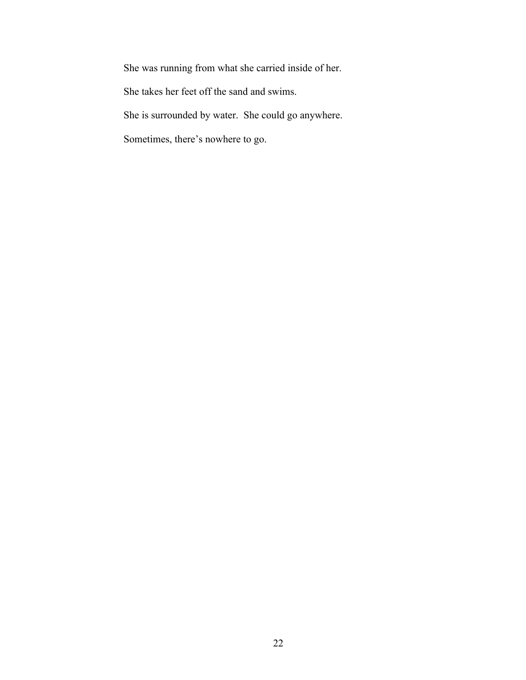She was running from what she carried inside of her.

She takes her feet off the sand and swims.

She is surrounded by water. She could go anywhere.

Sometimes, there's nowhere to go.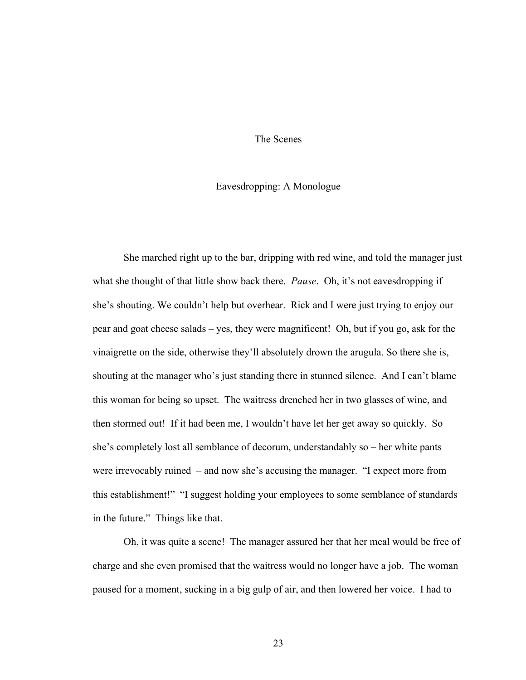#### The Scenes

### Eavesdropping: A Monologue

She marched right up to the bar, dripping with red wine, and told the manager just what she thought of that little show back there. *Pause*. Oh, it's not eavesdropping if she's shouting. We couldn't help but overhear. Rick and I were just trying to enjoy our pear and goat cheese salads – yes, they were magnificent! Oh, but if you go, ask for the vinaigrette on the side, otherwise they'll absolutely drown the arugula. So there she is, shouting at the manager who's just standing there in stunned silence. And I can't blame this woman for being so upset. The waitress drenched her in two glasses of wine, and then stormed out! If it had been me, I wouldn't have let her get away so quickly. So she's completely lost all semblance of decorum, understandably so – her white pants were irrevocably ruined – and now she's accusing the manager. "I expect more from this establishment!" "I suggest holding your employees to some semblance of standards in the future." Things like that.

Oh, it was quite a scene! The manager assured her that her meal would be free of charge and she even promised that the waitress would no longer have a job. The woman paused for a moment, sucking in a big gulp of air, and then lowered her voice. I had to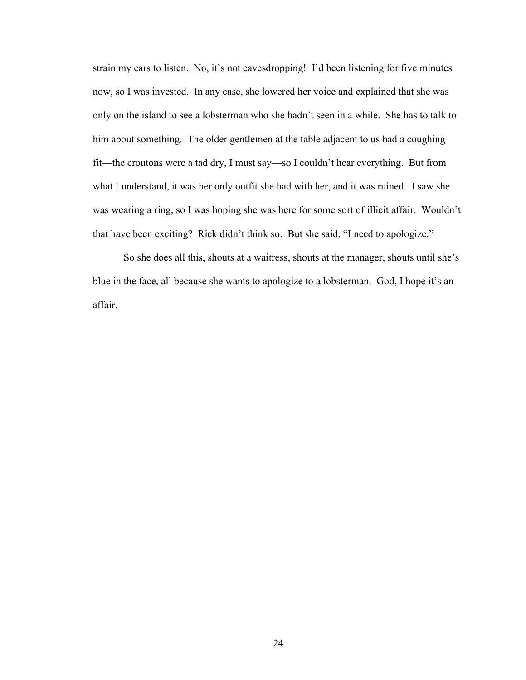strain my ears to listen. No, it's not eavesdropping! I'd been listening for five minutes now, so I was invested. In any case, she lowered her voice and explained that she was only on the island to see a lobsterman who she hadn't seen in a while. She has to talk to him about something. The older gentlemen at the table adjacent to us had a coughing fit—the croutons were a tad dry, I must say—so I couldn't hear everything. But from what I understand, it was her only outfit she had with her, and it was ruined. I saw she was wearing a ring, so I was hoping she was here for some sort of illicit affair. Wouldn't that have been exciting? Rick didn't think so. But she said, "I need to apologize."

So she does all this, shouts at a waitress, shouts at the manager, shouts until she's blue in the face, all because she wants to apologize to a lobsterman. God, I hope it's an affair.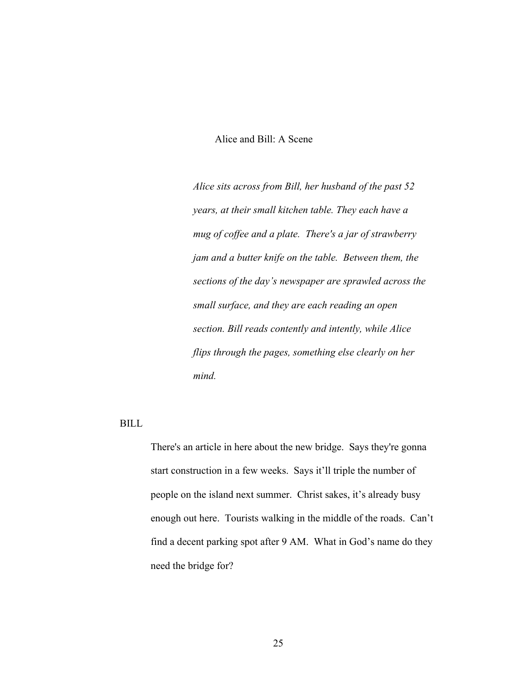# Alice and Bill: A Scene

*Alice sits across from Bill, her husband of the past 52 years, at their small kitchen table. They each have a mug of coffee and a plate. There's a jar of strawberry jam and a butter knife on the table. Between them, the sections of the day's newspaper are sprawled across the small surface, and they are each reading an open section. Bill reads contently and intently, while Alice flips through the pages, something else clearly on her mind.*

# BILL

There's an article in here about the new bridge. Says they're gonna start construction in a few weeks. Says it'll triple the number of people on the island next summer. Christ sakes, it's already busy enough out here. Tourists walking in the middle of the roads. Can't find a decent parking spot after 9 AM. What in God's name do they need the bridge for?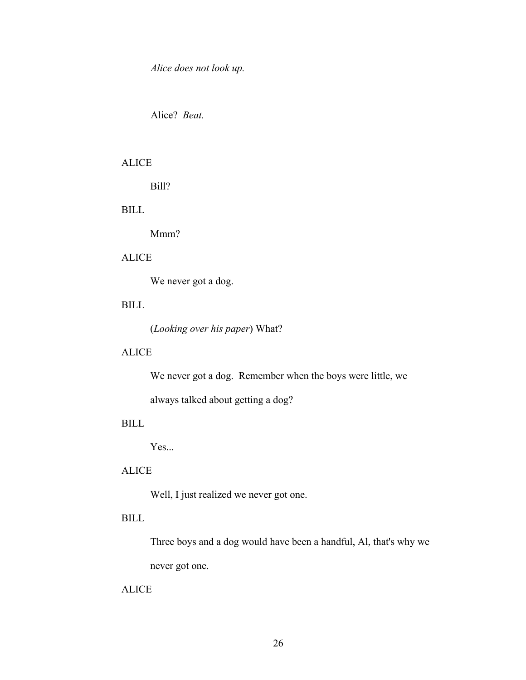*Alice does not look up.*

Alice? *Beat.*

# ALICE

Bill?

# BILL

Mmm?

# ALICE

We never got a dog.

# BILL

(*Looking over his paper*) What?

# ALICE

We never got a dog. Remember when the boys were little, we

always talked about getting a dog?

# BILL

Yes...

# ALICE

Well, I just realized we never got one.

# BILL

Three boys and a dog would have been a handful, Al, that's why we never got one.

#### ALICE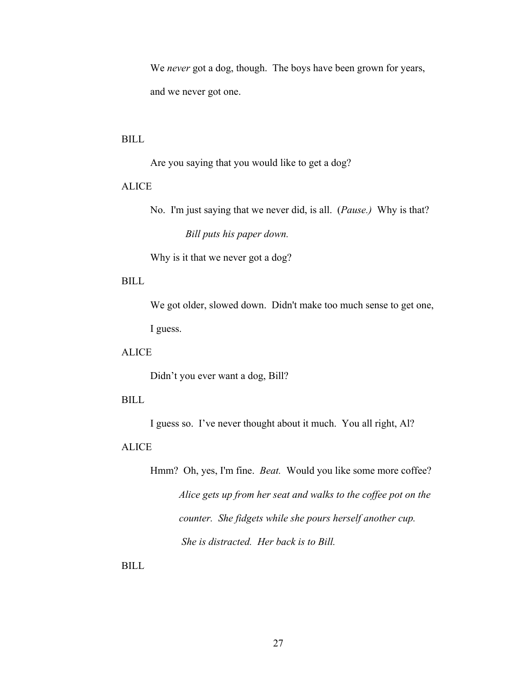We *never* got a dog, though. The boys have been grown for years, and we never got one.

### BILL

Are you saying that you would like to get a dog?

# ALICE

No. I'm just saying that we never did, is all. (*Pause.)* Why is that? *Bill puts his paper down.*

Why is it that we never got a dog?

# BILL

We got older, slowed down. Didn't make too much sense to get one, I guess.

# ALICE

Didn't you ever want a dog, Bill?

### BILL

I guess so. I've never thought about it much. You all right, Al?

### ALICE

Hmm? Oh, yes, I'm fine. *Beat.* Would you like some more coffee? *Alice gets up from her seat and walks to the coffee pot on the counter. She fidgets while she pours herself another cup. She is distracted. Her back is to Bill.* 

BILL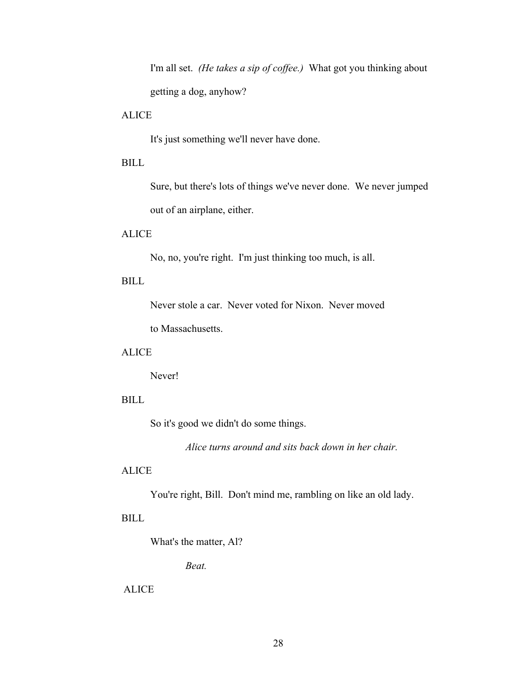I'm all set. *(He takes a sip of coffee.)* What got you thinking about getting a dog, anyhow?

# **ALICE**

It's just something we'll never have done.

# BILL

Sure, but there's lots of things we've never done. We never jumped out of an airplane, either.

# **ALICE**

No, no, you're right. I'm just thinking too much, is all.

# BILL

Never stole a car. Never voted for Nixon. Never moved

to Massachusetts.

# ALICE

Never!

# BILL

So it's good we didn't do some things.

*Alice turns around and sits back down in her chair.*

### ALICE

You're right, Bill. Don't mind me, rambling on like an old lady.

# BILL

What's the matter, Al?

*Beat.*

#### ALICE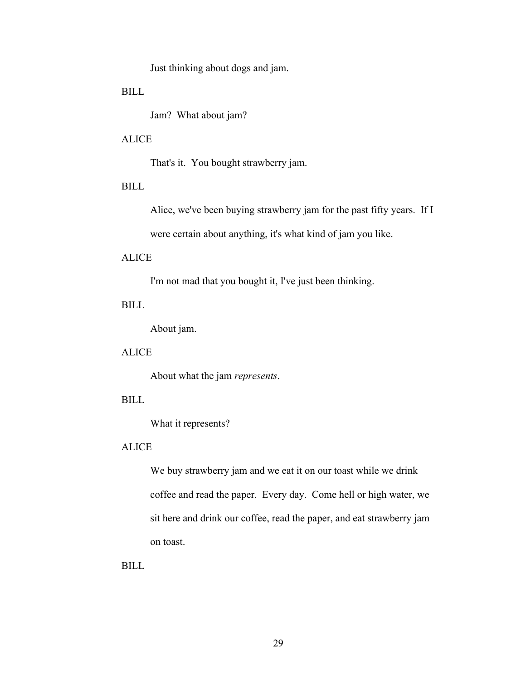Just thinking about dogs and jam.

BILL

Jam? What about jam?

### ALICE

That's it. You bought strawberry jam.

# BILL

Alice, we've been buying strawberry jam for the past fifty years. If I were certain about anything, it's what kind of jam you like.

### ALICE

I'm not mad that you bought it, I've just been thinking.

# BILL

About jam.

# ALICE

About what the jam *represents*.

### BILL

What it represents?

#### ALICE

We buy strawberry jam and we eat it on our toast while we drink coffee and read the paper. Every day. Come hell or high water, we sit here and drink our coffee, read the paper, and eat strawberry jam on toast.

BILL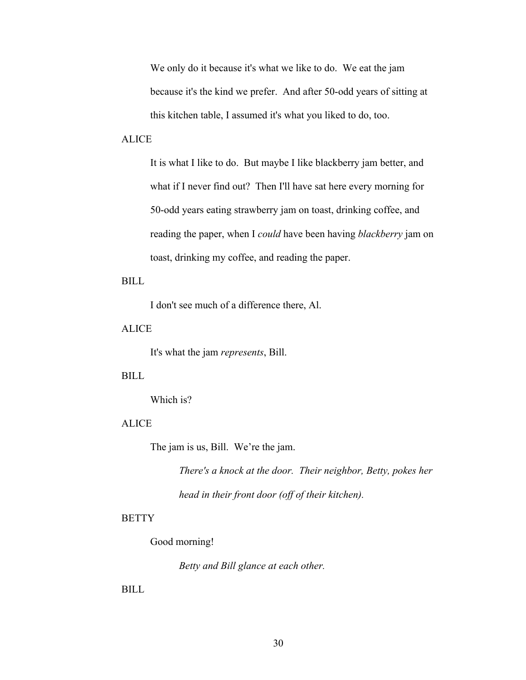We only do it because it's what we like to do. We eat the jam because it's the kind we prefer. And after 50-odd years of sitting at this kitchen table, I assumed it's what you liked to do, too.

# ALICE

It is what I like to do. But maybe I like blackberry jam better, and what if I never find out? Then I'll have sat here every morning for 50-odd years eating strawberry jam on toast, drinking coffee, and reading the paper, when I *could* have been having *blackberry* jam on toast, drinking my coffee, and reading the paper.

BILL

I don't see much of a difference there, Al.

ALICE

It's what the jam *represents*, Bill.

### BILL

Which is?

# ALICE

The jam is us, Bill. We're the jam.

*There's a knock at the door. Their neighbor, Betty, pokes her head in their front door (off of their kitchen).*

#### **BETTY**

#### Good morning!

*Betty and Bill glance at each other.*

BILL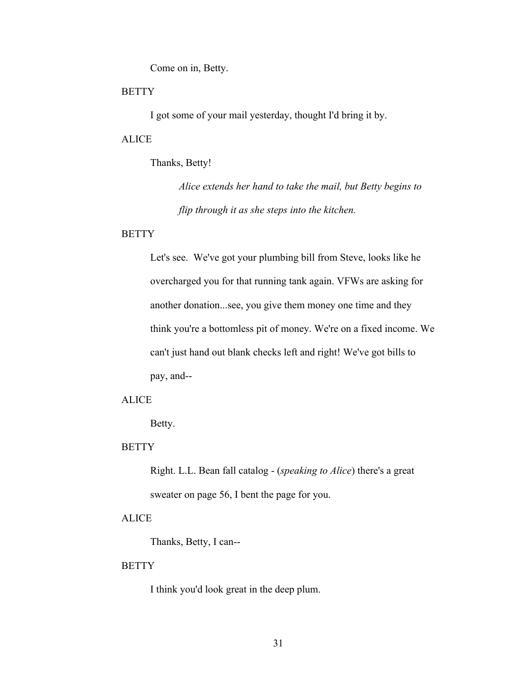Come on in, Betty.

#### **BETTY**

I got some of your mail yesterday, thought I'd bring it by.

### **ALICE**

Thanks, Betty!

*Alice extends her hand to take the mail, but Betty begins to flip through it as she steps into the kitchen.*

#### **BETTY**

Let's see. We've got your plumbing bill from Steve, looks like he overcharged you for that running tank again. VFWs are asking for another donation...see, you give them money one time and they think you're a bottomless pit of money. We're on a fixed income. We can't just hand out blank checks left and right! We've got bills to pay, and--

# ALICE

Betty.

#### **BETTY**

Right. L.L. Bean fall catalog - (*speaking to Alice*) there's a great sweater on page 56, I bent the page for you.

### **ALICE**

Thanks, Betty, I can--

### **BETTY**

I think you'd look great in the deep plum.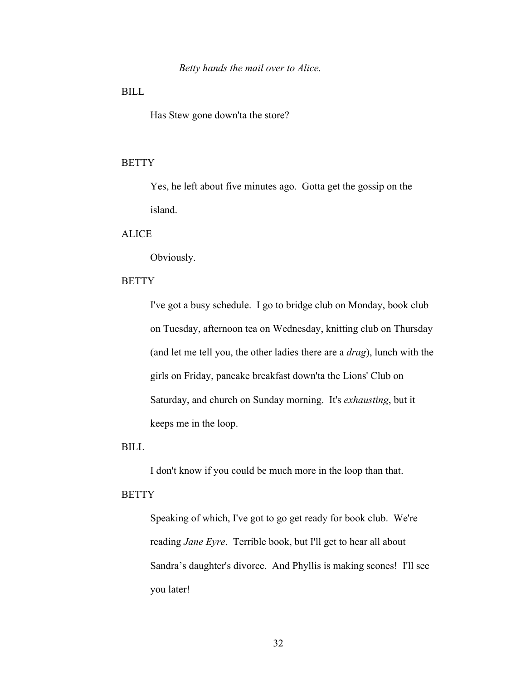# BILL

Has Stew gone down'ta the store?

#### **BETTY**

Yes, he left about five minutes ago. Gotta get the gossip on the island.

# **ALICE**

Obviously.

# **BETTY**

I've got a busy schedule. I go to bridge club on Monday, book club on Tuesday, afternoon tea on Wednesday, knitting club on Thursday (and let me tell you, the other ladies there are a *drag*), lunch with the girls on Friday, pancake breakfast down'ta the Lions' Club on Saturday, and church on Sunday morning. It's *exhausting*, but it keeps me in the loop.

BILL

I don't know if you could be much more in the loop than that.

#### **BETTY**

Speaking of which, I've got to go get ready for book club. We're reading *Jane Eyre*. Terrible book, but I'll get to hear all about Sandra's daughter's divorce. And Phyllis is making scones! I'll see you later!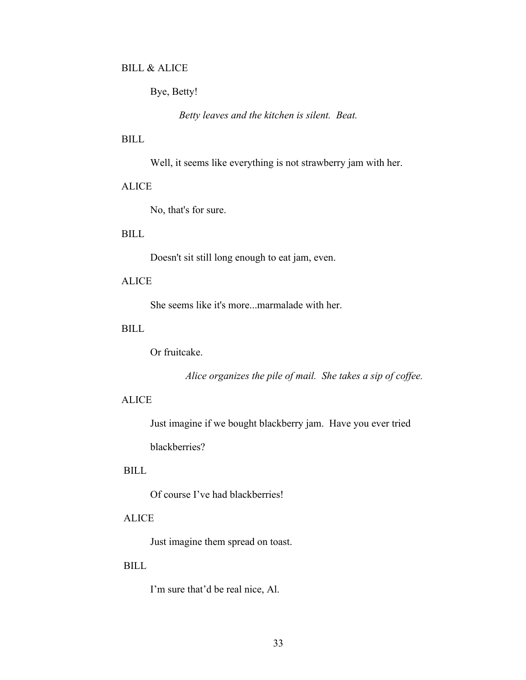# BILL & ALICE

Bye, Betty!

*Betty leaves and the kitchen is silent. Beat.*

# BILL

Well, it seems like everything is not strawberry jam with her.

# ALICE

No, that's for sure.

# **BILL**

Doesn't sit still long enough to eat jam, even.

# **ALICE**

She seems like it's more...marmalade with her.

### BILL

Or fruitcake.

*Alice organizes the pile of mail. She takes a sip of coffee.*

### ALICE

Just imagine if we bought blackberry jam. Have you ever tried blackberries?

#### BILL

Of course I've had blackberries!

# ALICE

Just imagine them spread on toast.

#### BILL

I'm sure that'd be real nice, Al.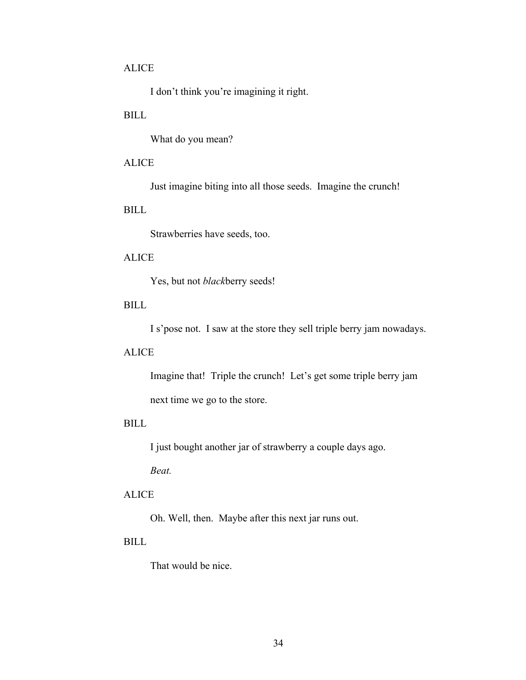# ALICE

I don't think you're imagining it right.

# BILL

What do you mean?

# **ALICE**

Just imagine biting into all those seeds. Imagine the crunch!

# BILL

Strawberries have seeds, too.

# ALICE

Yes, but not *black*berry seeds!

# BILL

I s'pose not. I saw at the store they sell triple berry jam nowadays.

### ALICE

Imagine that! Triple the crunch! Let's get some triple berry jam next time we go to the store.

# BILL

I just bought another jar of strawberry a couple days ago.

*Beat.*

### ALICE

Oh. Well, then. Maybe after this next jar runs out.

#### BILL

That would be nice.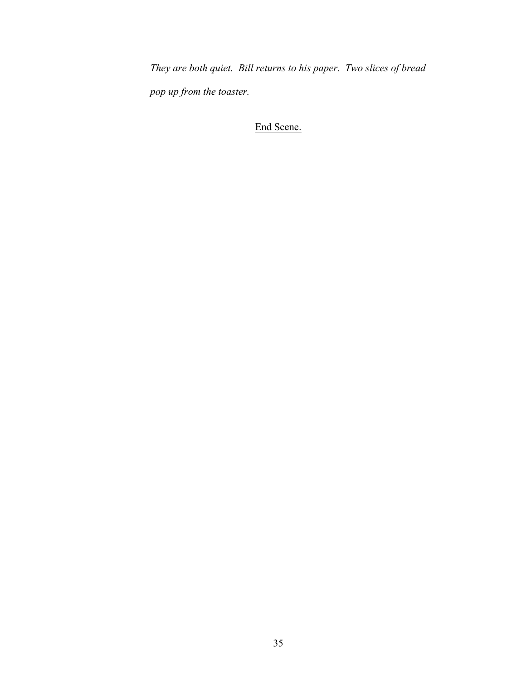*They are both quiet. Bill returns to his paper. Two slices of bread pop up from the toaster.* 

End Scene.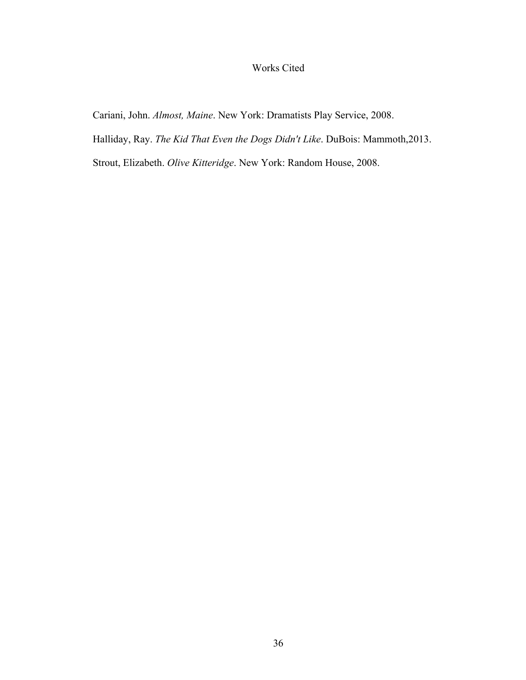# Works Cited

Cariani, John. *Almost, Maine*. New York: Dramatists Play Service, 2008.

Halliday, Ray. *The Kid That Even the Dogs Didn't Like*. DuBois: Mammoth,2013.

Strout, Elizabeth. *Olive Kitteridge*. New York: Random House, 2008.